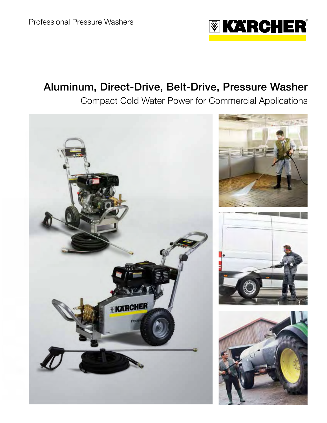

# Aluminum, Direct-Drive, Belt-Drive, Pressure Washer

Compact Cold Water Power for Commercial Applications

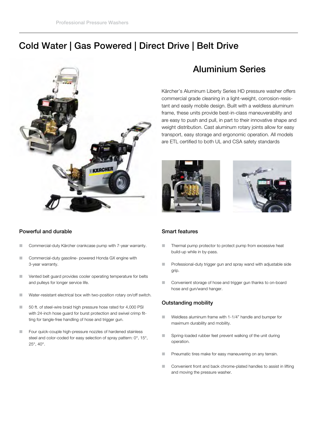## Cold Water | Gas Powered | Direct Drive | Belt Drive



### Powerful and durable

- **L** Commercial-duty Kärcher crankcase pump with 7-year warranty.
- L Commercial-duty gasoline- powered Honda GX engine with 3-year warranty.
- **L** Vented belt guard provides cooler operating temperature for belts and pulleys for longer service life.
- **L** Water-resistant electrical box with two-position rotary on/off switch.
- 50 ft. of steel-wire braid high pressure hose rated for 4,000 PSI with 24-inch hose guard for burst protection and swivel crimp fitting for tangle-free handling of hose and trigger gun.
- **EXECUTE:** Four quick-couple high-pressure nozzles of hardened stainless steel and color-coded for easy selection of spray pattern: 0°, 15°, 25°, 40°.

## Aluminium Series

Kärcher's Aluminum Liberty Series HD pressure washer offers commercial grade cleaning in a light-weight, corrosion-resistant and easily mobile design. Built with a weldless aluminum frame, these units provide best-in-class maneuverability and are easy to push and pull, in part to their innovative shape and weight distribution. Cast aluminum rotary joints allow for easy transport, easy storage and ergonomic operation. All models are ETL certified to both UL and CSA safety standards





#### Smart features

- **Thermal pump protector to protect pump from excessive heat** build-up while in by-pass.
- **E** Professional-duty trigger gun and spray wand with adjustable side grip.
- **L** Convenient storage of hose and trigger gun thanks to on-board hose and gun/wand hanger.

### Outstanding mobility

- **L** Weldless aluminum frame with 1-1/4" handle and bumper for maximum durability and mobility.
- **Example 3** Spring-loaded rubber feet prevent walking of the unit during operation.
- Pneumatic tires make for easy maneuvering on any terrain.
- **L** Convenient front and back chrome-plated handles to assist in lifting and moving the pressure washer.